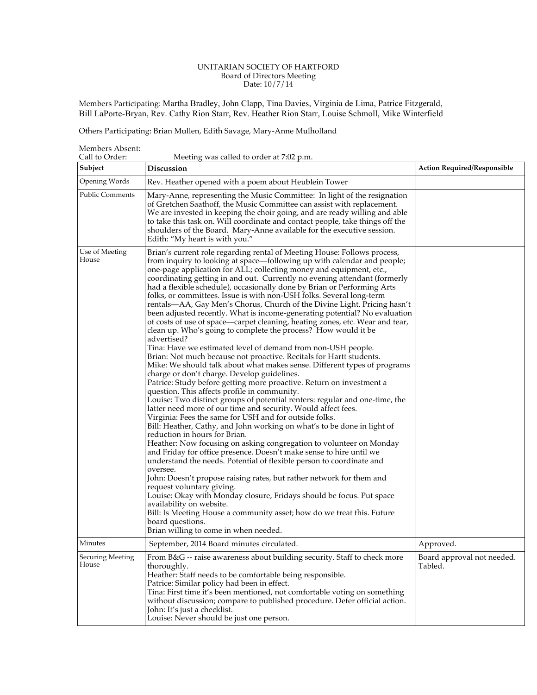## UNITARIAN SOCIETY OF HARTFORD Board of Directors Meeting Date: 10/7/14

Members Participating: Martha Bradley, John Clapp, Tina Davies, Virginia de Lima, Patrice Fitzgerald, Bill LaPorte-Bryan, Rev. Cathy Rion Starr, Rev. Heather Rion Starr, Louise Schmoll, Mike Winterfield

Others Participating: Brian Mullen, Edith Savage, Mary-Anne Mulholland

Members Absent:<br>Call to Order:

Meeting was called to order at 7:02 p.m.

| Subject                          | $\frac{1}{2}$ $\frac{1}{2}$ $\frac{1}{2}$ $\frac{1}{2}$ $\frac{1}{2}$ $\frac{1}{2}$ $\frac{1}{2}$ $\frac{1}{2}$ $\frac{1}{2}$ $\frac{1}{2}$ $\frac{1}{2}$ $\frac{1}{2}$ $\frac{1}{2}$<br><b>Discussion</b>                                                                                                                                                                                                                                                                                                                                                                                                                                                                                                                                                                                                                                                                                                                                                                                                                                                                                                                                                                                                                                                                                                                                                                                                                                                                                                                                                                                                                                                                                                                                                                                                                                                                                                                                                                                                                                                                              | <b>Action Required/Responsible</b>    |
|----------------------------------|-----------------------------------------------------------------------------------------------------------------------------------------------------------------------------------------------------------------------------------------------------------------------------------------------------------------------------------------------------------------------------------------------------------------------------------------------------------------------------------------------------------------------------------------------------------------------------------------------------------------------------------------------------------------------------------------------------------------------------------------------------------------------------------------------------------------------------------------------------------------------------------------------------------------------------------------------------------------------------------------------------------------------------------------------------------------------------------------------------------------------------------------------------------------------------------------------------------------------------------------------------------------------------------------------------------------------------------------------------------------------------------------------------------------------------------------------------------------------------------------------------------------------------------------------------------------------------------------------------------------------------------------------------------------------------------------------------------------------------------------------------------------------------------------------------------------------------------------------------------------------------------------------------------------------------------------------------------------------------------------------------------------------------------------------------------------------------------------|---------------------------------------|
| Opening Words                    | Rev. Heather opened with a poem about Heublein Tower                                                                                                                                                                                                                                                                                                                                                                                                                                                                                                                                                                                                                                                                                                                                                                                                                                                                                                                                                                                                                                                                                                                                                                                                                                                                                                                                                                                                                                                                                                                                                                                                                                                                                                                                                                                                                                                                                                                                                                                                                                    |                                       |
| <b>Public Comments</b>           | Mary-Anne, representing the Music Committee: In light of the resignation<br>of Gretchen Saathoff, the Music Committee can assist with replacement.<br>We are invested in keeping the choir going, and are ready willing and able<br>to take this task on. Will coordinate and contact people, take things off the<br>shoulders of the Board. Mary-Anne available for the executive session.<br>Edith: "My heart is with you."                                                                                                                                                                                                                                                                                                                                                                                                                                                                                                                                                                                                                                                                                                                                                                                                                                                                                                                                                                                                                                                                                                                                                                                                                                                                                                                                                                                                                                                                                                                                                                                                                                                           |                                       |
| Use of Meeting<br>House          | Brian's current role regarding rental of Meeting House: Follows process,<br>from inquiry to looking at space-following up with calendar and people;<br>one-page application for ALL; collecting money and equipment, etc.,<br>coordinating getting in and out. Currently no evening attendant (formerly<br>had a flexible schedule), occasionally done by Brian or Performing Arts<br>folks, or committees. Issue is with non-USH folks. Several long-term<br>rentals—AA, Gay Men's Chorus, Church of the Divine Light. Pricing hasn't<br>been adjusted recently. What is income-generating potential? No evaluation<br>of costs of use of space—carpet cleaning, heating zones, etc. Wear and tear,<br>clean up. Who's going to complete the process? How would it be<br>advertised?<br>Tina: Have we estimated level of demand from non-USH people.<br>Brian: Not much because not proactive. Recitals for Hartt students.<br>Mike: We should talk about what makes sense. Different types of programs<br>charge or don't charge. Develop guidelines.<br>Patrice: Study before getting more proactive. Return on investment a<br>question. This affects profile in community.<br>Louise: Two distinct groups of potential renters: regular and one-time, the<br>latter need more of our time and security. Would affect fees.<br>Virginia: Fees the same for USH and for outside folks.<br>Bill: Heather, Cathy, and John working on what's to be done in light of<br>reduction in hours for Brian.<br>Heather: Now focusing on asking congregation to volunteer on Monday<br>and Friday for office presence. Doesn't make sense to hire until we<br>understand the needs. Potential of flexible person to coordinate and<br>oversee.<br>John: Doesn't propose raising rates, but rather network for them and<br>request voluntary giving.<br>Louise: Okay with Monday closure, Fridays should be focus. Put space<br>availability on website.<br>Bill: Is Meeting House a community asset; how do we treat this. Future<br>board questions.<br>Brian willing to come in when needed. |                                       |
| Minutes                          | September, 2014 Board minutes circulated.                                                                                                                                                                                                                                                                                                                                                                                                                                                                                                                                                                                                                                                                                                                                                                                                                                                                                                                                                                                                                                                                                                                                                                                                                                                                                                                                                                                                                                                                                                                                                                                                                                                                                                                                                                                                                                                                                                                                                                                                                                               | Approved.                             |
| <b>Securing Meeting</b><br>House | From B&G -- raise awareness about building security. Staff to check more<br>thoroughly.<br>Heather: Staff needs to be comfortable being responsible.<br>Patrice: Similar policy had been in effect.<br>Tina: First time it's been mentioned, not comfortable voting on something<br>without discussion; compare to published procedure. Defer official action.<br>John: It's just a checklist.<br>Louise: Never should be just one person.                                                                                                                                                                                                                                                                                                                                                                                                                                                                                                                                                                                                                                                                                                                                                                                                                                                                                                                                                                                                                                                                                                                                                                                                                                                                                                                                                                                                                                                                                                                                                                                                                                              | Board approval not needed.<br>Tabled. |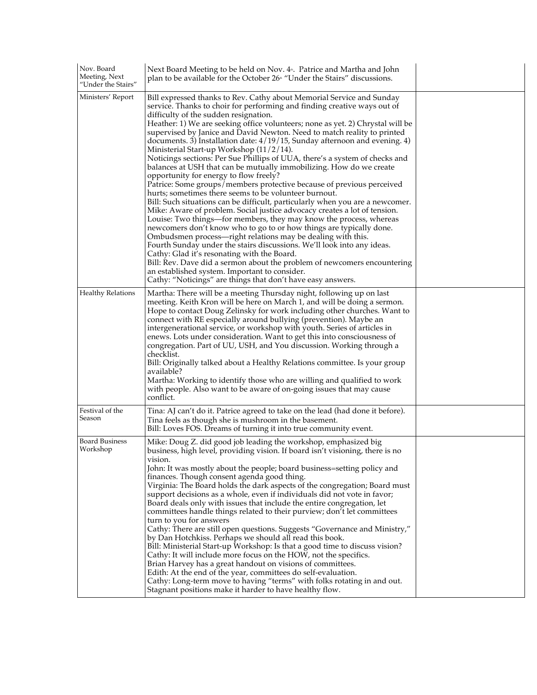| Nov. Board<br>Meeting, Next<br>"Under the Stairs" | Next Board Meeting to be held on Nov. 4 <sup>th</sup> . Patrice and Martha and John<br>plan to be available for the October 26 <sup>*</sup> "Under the Stairs" discussions.                                                                                                                                                                                                                                                                                                                                                                                                                                                                                                                                                                                                                                                                                                                                                                                                                                                                                                                                                                                                                                                                                                                                                                                                                                                                                                                                           |  |
|---------------------------------------------------|-----------------------------------------------------------------------------------------------------------------------------------------------------------------------------------------------------------------------------------------------------------------------------------------------------------------------------------------------------------------------------------------------------------------------------------------------------------------------------------------------------------------------------------------------------------------------------------------------------------------------------------------------------------------------------------------------------------------------------------------------------------------------------------------------------------------------------------------------------------------------------------------------------------------------------------------------------------------------------------------------------------------------------------------------------------------------------------------------------------------------------------------------------------------------------------------------------------------------------------------------------------------------------------------------------------------------------------------------------------------------------------------------------------------------------------------------------------------------------------------------------------------------|--|
| Ministers' Report                                 | Bill expressed thanks to Rev. Cathy about Memorial Service and Sunday<br>service. Thanks to choir for performing and finding creative ways out of<br>difficulty of the sudden resignation.<br>Heather: 1) We are seeking office volunteers; none as yet. 2) Chrystal will be<br>supervised by Janice and David Newton. Need to match reality to printed<br>documents. 3) Installation date: $4/19/15$ , Sunday afternoon and evening. 4)<br>Ministerial Start-up Workshop (11/2/14).<br>Noticings sections: Per Sue Phillips of UUA, there's a system of checks and<br>balances at USH that can be mutually immobilizing. How do we create<br>opportunity for energy to flow freely?<br>Patrice: Some groups/members protective because of previous perceived<br>hurts; sometimes there seems to be volunteer burnout.<br>Bill: Such situations can be difficult, particularly when you are a newcomer.<br>Mike: Aware of problem. Social justice advocacy creates a lot of tension.<br>Louise: Two things—for members, they may know the process, whereas<br>newcomers don't know who to go to or how things are typically done.<br>Ombudsmen process—right relations may be dealing with this.<br>Fourth Sunday under the stairs discussions. We'll look into any ideas.<br>Cathy: Glad it's resonating with the Board.<br>Bill: Rev. Dave did a sermon about the problem of newcomers encountering<br>an established system. Important to consider.<br>Cathy: "Noticings" are things that don't have easy answers. |  |
| <b>Healthy Relations</b>                          | Martha: There will be a meeting Thursday night, following up on last<br>meeting. Keith Kron will be here on March 1, and will be doing a sermon.<br>Hope to contact Doug Zelinsky for work including other churches. Want to<br>connect with RE especially around bullying (prevention). Maybe an<br>intergenerational service, or workshop with youth. Series of articles in<br>enews. Lots under consideration. Want to get this into consciousness of<br>congregation. Part of UU, USH, and You discussion. Working through a<br>checklist.<br>Bill: Originally talked about a Healthy Relations committee. Is your group<br>available?<br>Martha: Working to identify those who are willing and qualified to work<br>with people. Also want to be aware of on-going issues that may cause<br>conflict.                                                                                                                                                                                                                                                                                                                                                                                                                                                                                                                                                                                                                                                                                                            |  |
| Festival of the<br>Season                         | Tina: AJ can't do it. Patrice agreed to take on the lead (had done it before).<br>Tina feels as though she is mushroom in the basement.<br>Bill: Loves FOS. Dreams of turning it into true community event.                                                                                                                                                                                                                                                                                                                                                                                                                                                                                                                                                                                                                                                                                                                                                                                                                                                                                                                                                                                                                                                                                                                                                                                                                                                                                                           |  |
| <b>Board Business</b><br>Workshop                 | Mike: Doug Z. did good job leading the workshop, emphasized big<br>business, high level, providing vision. If board isn't visioning, there is no<br>vision.<br>John: It was mostly about the people; board business=setting policy and<br>finances. Though consent agenda good thing.<br>Virginia: The Board holds the dark aspects of the congregation; Board must<br>support decisions as a whole, even if individuals did not vote in favor;<br>Board deals only with issues that include the entire congregation, let<br>committees handle things related to their purview; don't let committees<br>turn to you for answers<br>Cathy: There are still open questions. Suggests "Governance and Ministry,"<br>by Dan Hotchkiss. Perhaps we should all read this book.<br>Bill: Ministerial Start-up Workshop: Is that a good time to discuss vision?<br>Cathy: It will include more focus on the HOW, not the specifics.<br>Brian Harvey has a great handout on visions of committees.<br>Edith: At the end of the year, committees do self-evaluation.<br>Cathy: Long-term move to having "terms" with folks rotating in and out.<br>Stagnant positions make it harder to have healthy flow.                                                                                                                                                                                                                                                                                                                      |  |